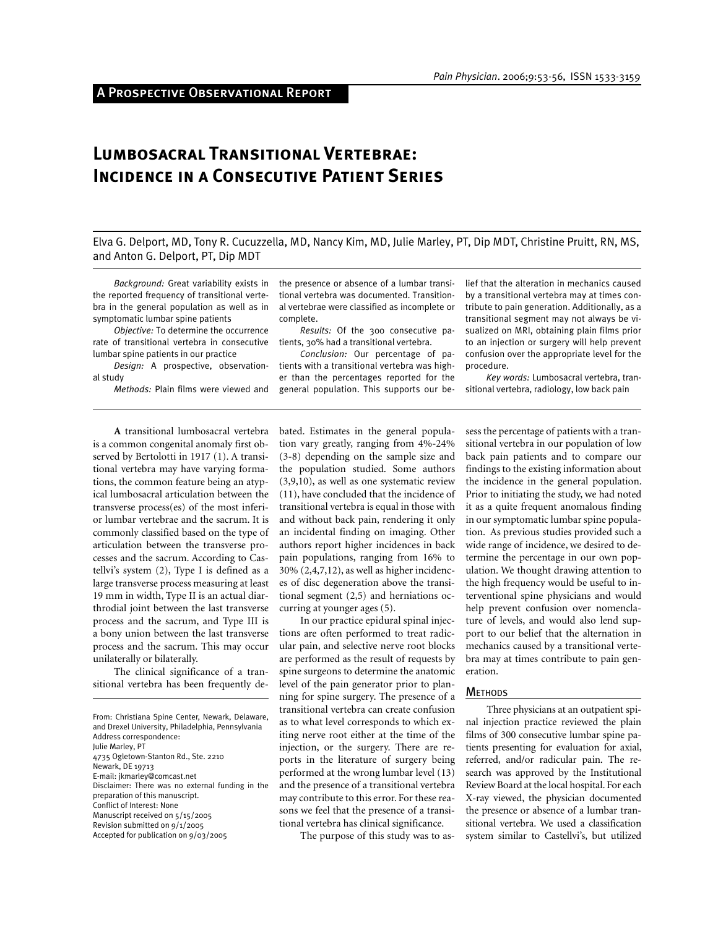# **Lumbosacral Transitional Vertebrae: Incidence in a Consecutive Patient Series**

Elva G. Delport, MD, Tony R. Cucuzzella, MD, Nancy Kim, MD, Julie Marley, PT, Dip MDT, Christine Pruitt, RN, MS, and Anton G. Delport, PT, Dip MDT

*Background:* Great variability exists in the reported frequency of transitional vertebra in the general population as well as in symptomatic lumbar spine patients

*Objective:* To determine the occurrence rate of transitional vertebra in consecutive lumbar spine patients in our practice

*Design:* A prospective, observational study

*Methods:* Plain films were viewed and

the presence or absence of a lumbar transitional vertebra was documented. Transitional vertebrae were classified as incomplete or complete.

*Results:* Of the 300 consecutive patients, 30% had a transitional vertebra.

*Conclusion:* Our percentage of patients with a transitional vertebra was higher than the percentages reported for the general population. This supports our belief that the alteration in mechanics caused by a transitional vertebra may at times contribute to pain generation. Additionally, as a transitional segment may not always be visualized on MRI, obtaining plain films prior to an injection or surgery will help prevent confusion over the appropriate level for the procedure.

*Key words:* Lumbosacral vertebra, transitional vertebra, radiology, low back pain

**A** transitional lumbosacral vertebra is a common congenital anomaly first observed by Bertolotti in 1917 (1). A transitional vertebra may have varying formations, the common feature being an atypical lumbosacral articulation between the transverse process(es) of the most inferior lumbar vertebrae and the sacrum. It is commonly classified based on the type of articulation between the transverse processes and the sacrum. According to Castellvi's system (2), Type I is defined as a large transverse process measuring at least 19 mm in width, Type II is an actual diarthrodial joint between the last transverse process and the sacrum, and Type III is a bony union between the last transverse process and the sacrum. This may occur unilaterally or bilaterally.

The clinical significance of a transitional vertebra has been frequently de-

From: Christiana Spine Center, Newark, Delaware, and Drexel University, Philadelphia, Pennsylvania Address correspondence: Julie Marley, PT 4735 Ogletown-Stanton Rd., Ste. 2210 Newark, DE 19713 E-mail: jkmarley@comcast.net Disclaimer: There was no external funding in the preparation of this manuscript. Conflict of Interest: None Manuscript received on 5/15/2005 Revision submitted on 9/1/2005 Accepted for publication on 9/03/2005

bated. Estimates in the general population vary greatly, ranging from 4%-24% (3-8) depending on the sample size and the population studied. Some authors (3,9,10), as well as one systematic review (11), have concluded that the incidence of transitional vertebra is equal in those with and without back pain, rendering it only an incidental finding on imaging. Other authors report higher incidences in back pain populations, ranging from 16% to 30% (2,4,7,12), as well as higher incidences of disc degeneration above the transitional segment (2,5) and herniations occurring at younger ages (5).

In our practice epidural spinal injections are often performed to treat radicular pain, and selective nerve root blocks are performed as the result of requests by spine surgeons to determine the anatomic level of the pain generator prior to planning for spine surgery. The presence of a transitional vertebra can create confusion as to what level corresponds to which exiting nerve root either at the time of the injection, or the surgery. There are reports in the literature of surgery being performed at the wrong lumbar level (13) and the presence of a transitional vertebra may contribute to this error. For these reasons we feel that the presence of a transitional vertebra has clinical significance.

The purpose of this study was to as-

sess the percentage of patients with a transitional vertebra in our population of low back pain patients and to compare our findings to the existing information about the incidence in the general population. Prior to initiating the study, we had noted it as a quite frequent anomalous finding in our symptomatic lumbar spine population. As previous studies provided such a wide range of incidence, we desired to determine the percentage in our own population. We thought drawing attention to the high frequency would be useful to interventional spine physicians and would help prevent confusion over nomenclature of levels, and would also lend support to our belief that the alternation in mechanics caused by a transitional vertebra may at times contribute to pain generation.

#### **METHODS**

Three physicians at an outpatient spinal injection practice reviewed the plain films of 300 consecutive lumbar spine patients presenting for evaluation for axial, referred, and/or radicular pain. The research was approved by the Institutional Review Board at the local hospital. For each X-ray viewed, the physician documented the presence or absence of a lumbar transitional vertebra. We used a classification system similar to Castellvi's, but utilized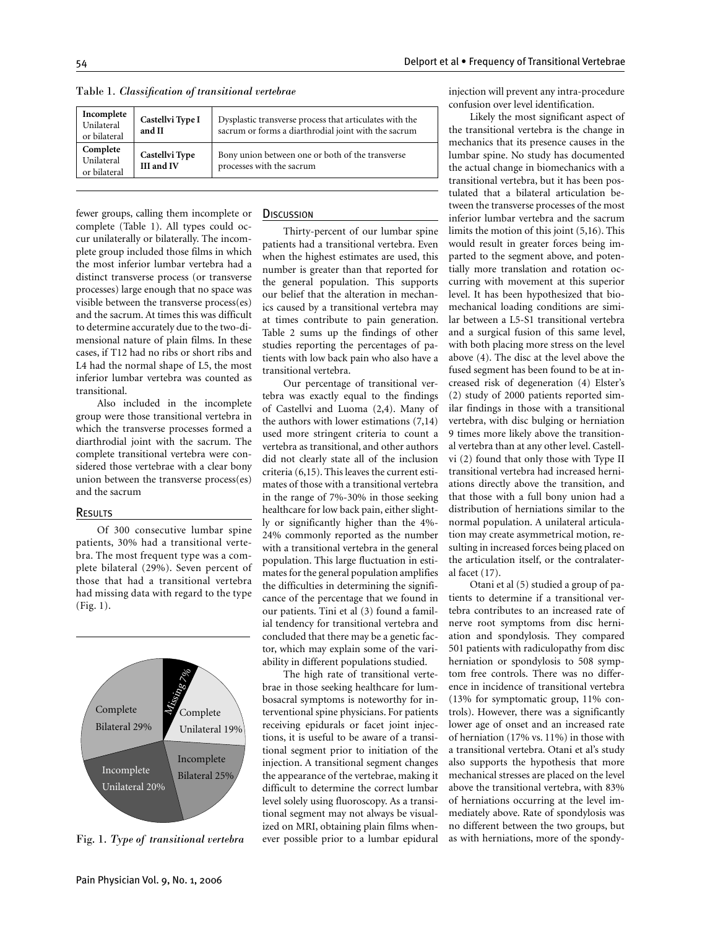| Incomplete<br>Unilateral<br>or bilateral                                      | Castellvi Type I<br>and II | Dysplastic transverse process that articulates with the<br>sacrum or forms a diarthrodial joint with the sacrum |
|-------------------------------------------------------------------------------|----------------------------|-----------------------------------------------------------------------------------------------------------------|
| Complete<br>Castellvi Type<br>Unilateral<br><b>III</b> and IV<br>or bilateral |                            | Bony union between one or both of the transverse<br>processes with the sacrum                                   |

Table 1. Classification of transitional vertebrae

fewer groups, calling them incomplete or complete (Table 1). All types could occur unilaterally or bilaterally. The incomplete group included those films in which the most inferior lumbar vertebra had a distinct transverse process (or transverse processes) large enough that no space was visible between the transverse process(es) and the sacrum. At times this was difficult to determine accurately due to the two-dimensional nature of plain films. In these cases, if T12 had no ribs or short ribs and L4 had the normal shape of L5, the most inferior lumbar vertebra was counted as transitional.

Also included in the incomplete group were those transitional vertebra in which the transverse processes formed a diarthrodial joint with the sacrum. The complete transitional vertebra were considered those vertebrae with a clear bony union between the transverse process(es) and the sacrum

### RESULTS

Of 300 consecutive lumbar spine patients, 30% had a transitional vertebra. The most frequent type was a complete bilateral (29%). Seven percent of those that had a transitional vertebra had missing data with regard to the type (Fig. 1).



Fig. 1. *Type of transitional vertebra*

## **DISCUSSION**

Thirty-percent of our lumbar spine patients had a transitional vertebra. Even when the highest estimates are used, this number is greater than that reported for the general population. This supports our belief that the alteration in mechanics caused by a transitional vertebra may at times contribute to pain generation. Table 2 sums up the findings of other studies reporting the percentages of patients with low back pain who also have a transitional vertebra.

Our percentage of transitional vertebra was exactly equal to the findings of Castellvi and Luoma (2,4). Many of the authors with lower estimations (7,14) used more stringent criteria to count a vertebra as transitional, and other authors did not clearly state all of the inclusion criteria (6,15). This leaves the current estimates of those with a transitional vertebra in the range of 7%-30% in those seeking healthcare for low back pain, either slightly or significantly higher than the 4%- 24% commonly reported as the number with a transitional vertebra in the general population. This large fluctuation in estimates for the general population amplifies the difficulties in determining the significance of the percentage that we found in our patients. Tini et al (3) found a familial tendency for transitional vertebra and concluded that there may be a genetic factor, which may explain some of the variability in different populations studied.

The high rate of transitional vertebrae in those seeking healthcare for lumbosacral symptoms is noteworthy for interventional spine physicians. For patients receiving epidurals or facet joint injections, it is useful to be aware of a transitional segment prior to initiation of the injection. A transitional segment changes the appearance of the vertebrae, making it difficult to determine the correct lumbar level solely using fluoroscopy. As a transitional segment may not always be visualized on MRI, obtaining plain films whenever possible prior to a lumbar epidural injection will prevent any intra-procedure confusion over level identification.

Likely the most significant aspect of the transitional vertebra is the change in mechanics that its presence causes in the lumbar spine. No study has documented the actual change in biomechanics with a transitional vertebra, but it has been postulated that a bilateral articulation between the transverse processes of the most inferior lumbar vertebra and the sacrum limits the motion of this joint (5,16). This would result in greater forces being imparted to the segment above, and potentially more translation and rotation occurring with movement at this superior level. It has been hypothesized that biomechanical loading conditions are similar between a L5-S1 transitional vertebra and a surgical fusion of this same level, with both placing more stress on the level above (4). The disc at the level above the fused segment has been found to be at increased risk of degeneration (4) Elster's (2) study of 2000 patients reported similar findings in those with a transitional vertebra, with disc bulging or herniation 9 times more likely above the transitional vertebra than at any other level. Castellvi (2) found that only those with Type II transitional vertebra had increased herniations directly above the transition, and that those with a full bony union had a distribution of herniations similar to the normal population. A unilateral articulation may create asymmetrical motion, resulting in increased forces being placed on the articulation itself, or the contralateral facet (17).

Otani et al (5) studied a group of patients to determine if a transitional vertebra contributes to an increased rate of nerve root symptoms from disc herniation and spondylosis. They compared 501 patients with radiculopathy from disc herniation or spondylosis to 508 symptom free controls. There was no difference in incidence of transitional vertebra (13% for symptomatic group, 11% controls). However, there was a significantly lower age of onset and an increased rate of herniation (17% vs. 11%) in those with a transitional vertebra. Otani et al's study also supports the hypothesis that more mechanical stresses are placed on the level above the transitional vertebra, with 83% of herniations occurring at the level immediately above. Rate of spondylosis was no different between the two groups, but as with herniations, more of the spondy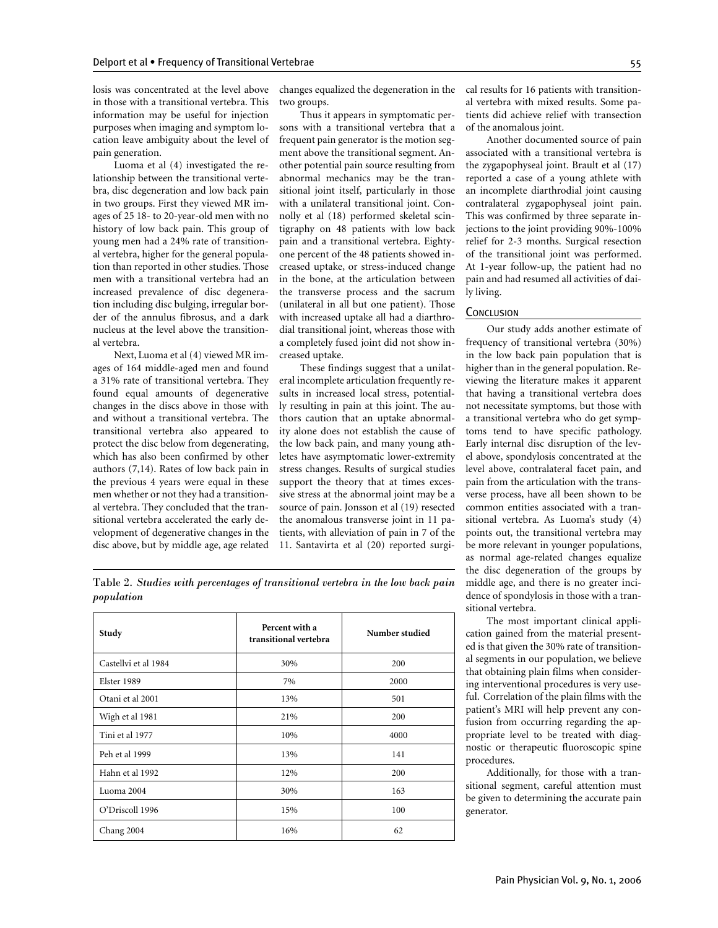losis was concentrated at the level above in those with a transitional vertebra. This information may be useful for injection purposes when imaging and symptom location leave ambiguity about the level of pain generation.

Luoma et al (4) investigated the relationship between the transitional vertebra, disc degeneration and low back pain in two groups. First they viewed MR images of 25 18- to 20-year-old men with no history of low back pain. This group of young men had a 24% rate of transitional vertebra, higher for the general population than reported in other studies. Those men with a transitional vertebra had an increased prevalence of disc degeneration including disc bulging, irregular border of the annulus fibrosus, and a dark nucleus at the level above the transitional vertebra.

Next, Luoma et al (4) viewed MR images of 164 middle-aged men and found a 31% rate of transitional vertebra. They found equal amounts of degenerative changes in the discs above in those with and without a transitional vertebra. The transitional vertebra also appeared to protect the disc below from degenerating, which has also been confirmed by other authors (7,14). Rates of low back pain in the previous 4 years were equal in these men whether or not they had a transitional vertebra. They concluded that the transitional vertebra accelerated the early development of degenerative changes in the disc above, but by middle age, age related

changes equalized the degeneration in the two groups.

Thus it appears in symptomatic persons with a transitional vertebra that a frequent pain generator is the motion segment above the transitional segment. Another potential pain source resulting from abnormal mechanics may be the transitional joint itself, particularly in those with a unilateral transitional joint. Connolly et al (18) performed skeletal scintigraphy on 48 patients with low back pain and a transitional vertebra. Eightyone percent of the 48 patients showed increased uptake, or stress-induced change in the bone, at the articulation between the transverse process and the sacrum (unilateral in all but one patient). Those with increased uptake all had a diarthrodial transitional joint, whereas those with a completely fused joint did not show increased uptake.

These findings suggest that a unilateral incomplete articulation frequently results in increased local stress, potentially resulting in pain at this joint. The authors caution that an uptake abnormality alone does not establish the cause of the low back pain, and many young athletes have asymptomatic lower-extremity stress changes. Results of surgical studies support the theory that at times excessive stress at the abnormal joint may be a source of pain. Jonsson et al (19) resected the anomalous transverse joint in 11 patients, with alleviation of pain in 7 of the 11. Santavirta et al (20) reported surgical results for 16 patients with transitional vertebra with mixed results. Some patients did achieve relief with transection of the anomalous joint.

Another documented source of pain associated with a transitional vertebra is the zygapophyseal joint. Brault et al (17) reported a case of a young athlete with an incomplete diarthrodial joint causing contralateral zygapophyseal joint pain. This was confirmed by three separate injections to the joint providing 90%-100% relief for 2-3 months. Surgical resection of the transitional joint was performed. At 1-year follow-up, the patient had no pain and had resumed all activities of daily living.

## **CONCLUSION**

Our study adds another estimate of frequency of transitional vertebra (30%) in the low back pain population that is higher than in the general population. Reviewing the literature makes it apparent that having a transitional vertebra does not necessitate symptoms, but those with a transitional vertebra who do get symptoms tend to have specific pathology. Early internal disc disruption of the level above, spondylosis concentrated at the level above, contralateral facet pain, and pain from the articulation with the transverse process, have all been shown to be common entities associated with a transitional vertebra. As Luoma's study (4) points out, the transitional vertebra may be more relevant in younger populations, as normal age-related changes equalize the disc degeneration of the groups by middle age, and there is no greater incidence of spondylosis in those with a transitional vertebra.

The most important clinical application gained from the material presented is that given the 30% rate of transitional segments in our population, we believe that obtaining plain films when considering interventional procedures is very useful. Correlation of the plain films with the patient's MRI will help prevent any confusion from occurring regarding the appropriate level to be treated with diagnostic or therapeutic fluoroscopic spine procedures.

Additionally, for those with a transitional segment, careful attention must be given to determining the accurate pain generator.

Table 2*. Studies with percentages of transitional vertebra in the low back pain population*

| Study                | Percent with a<br>transitional vertebra | Number studied |
|----------------------|-----------------------------------------|----------------|
| Castellyi et al 1984 | 30%                                     | 200            |
| Elster 1989          | 7%                                      | 2000           |
| Otani et al 2001     | 13%                                     | 501            |
| Wigh et al 1981      | 21%                                     | 200            |
| Tini et al 1977      | 10%                                     | 4000           |
| Peh et al 1999       | 13%                                     | 141            |
| Hahn et al 1992      | 12%                                     | 200            |
| Luoma 2004           | 30%                                     | 163            |
| O'Driscoll 1996      | 15%                                     | 100            |
| Chang 2004           | 16%                                     | 62             |